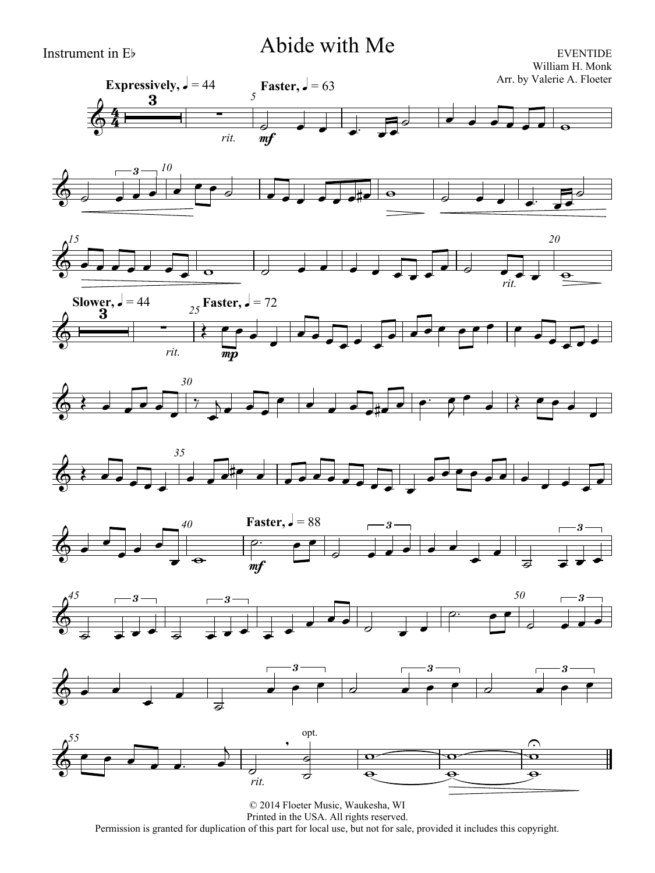# Instrument in Eb Abide with Me

EVENTIDE William H. Monk Arr. by Valerie A. Floeter

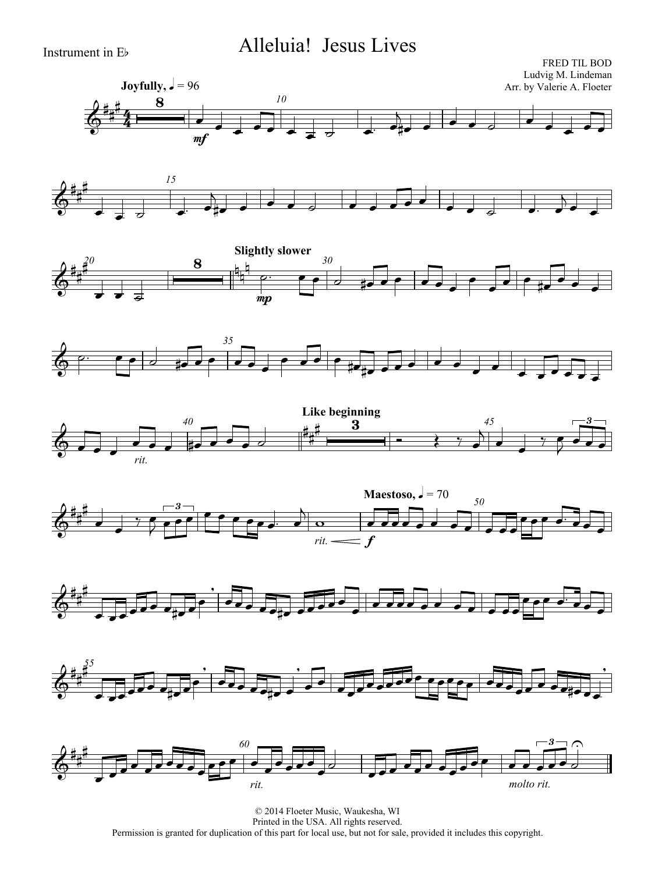# Instrument in Eb Alleluia! Jesus Lives

















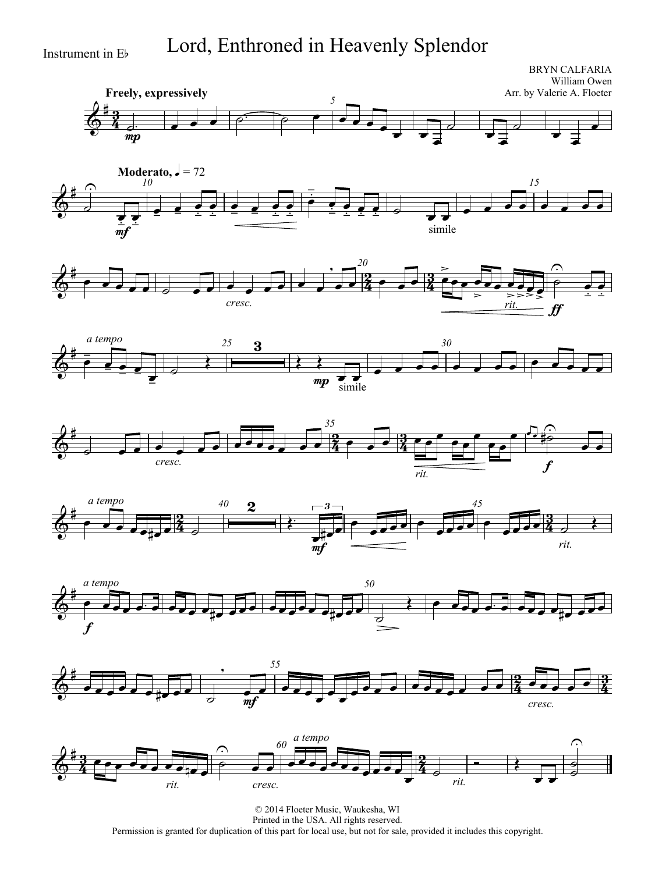$\delta^*$ 

 $\sharp$ 

 $\frac{\partial}{\partial \theta}$ 

 $\sharp$ 

 $\sharp$ 

 $\overline{\phantom{a}}$ 

*a tempo*

*a tempo*

 $\equiv$  $\frac{1}{\sqrt{2}}$  $\frac{\bullet}{\bullet}$  $\frac{1}{\sqrt{2}}$ 

 $\overline{d}$  $\widehat{\mathbb{P}}$ 

<u>3</u>  $\frac{3}{4}$ 

 $\bar{m}p$ 

 $\frac{1}{m}$  $\frac{1}{\cdot}$ 

 $\frac{\partial}{\partial \theta}$ 

# Instrument in Eb Lord, Enthroned in Heavenly Splendor

**Freely, expressively** BRYN CALFARIA William Owen Arr. by Valerie A. Floeter *5*  $\frac{1}{2}$  ,  $\frac{1}{2}$  ,  $\frac{1}{2}$  ,  $\frac{1}{2}$  ,  $\frac{1}{2}$  ,  $\frac{1}{2}$  ,  $\frac{1}{2}$  ,  $\frac{1}{2}$  $\overrightarrow{ }$  $\overline{\phantom{a}}$  $\overline{\phantom{a}}$  $\overline{\phantom{0}}$  $\overline{\phantom{0}}$  $\overline{d}$  $\overline{\phantom{0}}$  $\overline{\phantom{a}}$  $\overline{\phantom{0}}$ **Moderato,**  $\sqrt{ } = 72$ *10 15*  $\frac{1}{\frac{1}{\frac{1}{\frac{1}{\cdots}}}}$  $\frac{1}{2}$  $\frac{1}{2}$  $\frac{1}{1}$  $\frac{1}{1}$  $\overline{\phantom{a}}$  $\frac{1}{2}$  $\frac{1}{1}$  $\begin{array}{c} \begin{array}{c} \overline{1} \\ \overline{2} \end{array} \\ \begin{array}{c} \overline{1} \\ \overline{1} \end{array} \\ \begin{array}{c} \overline{1} \\ \overline{1} \end{array} \end{array}$  $\frac{1}{2}$  $\frac{1}{\frac{1}{\frac{1}{1-\frac{1}{1-\frac{1}{1-\frac{1}{1-\frac{1}{1-\frac{1}{1-\frac{1}{1-\frac{1}{1-\frac{1}{1-\frac{1}{1-\frac{1}{1-\frac{1}{1-\frac{1}{1-\frac{1}{1-\frac{1}{1-\frac{1}{1-\frac{1}{1-\frac{1}{1-\frac{1}{1-\frac{1}{1-\frac{1}{1-\frac{1}{1-\frac{1}{1-\frac{1}{1-\frac{1}{1-\frac{1}{1-\frac{1}{1-\frac{1}{1-\frac{1}{1-\frac{1}{1-\frac{1}{1-\frac{1}{1-\frac{1}{1-\frac{1}{1-\frac{1}{1$  $\frac{1}{1}$  $\frac{1}{2}$  $\frac{1}{2}$  $\frac{1}{2}$ simile  $\overrightarrow{ }$  $\overrightarrow{a}$  and and and analyzed and analyzed and analyzed and analyzed and analyzed and analyzed and analyzed and analyzed and analyzed and analyzed and analyzed and analyzed and analyzed and analyzed and analyzed and analy -<br>2  $\frac{2}{4}$ *20*  $6^{\frac{1}{2}}$  .  $7\sqrt{2}$  ,  $7\sqrt{2}$  ,  $7\sqrt{2}$  ,  $7\sqrt{2}$  ,  $7\sqrt{2}$  $\bullet$   $\bullet$   $\bullet$   $\bullet$   $\bullet$ *cresc.*  $\overline{\phantom{a}}$  $\overline{\phantom{0}}$  $-27 - 24$  $\geq$  $\overline{\phantom{0}}$ *rit.*  $\overline{\phantom{a}}$  $\equiv$  $\overline{\phantom{a}}$ ff  $\overline{\phantom{a}}$  $\frac{1}{\bullet}$  $\frac{1}{\sqrt{2}}$  $\frac{1}{2}$  $\frac{1}{\sqrt{2}}$  $\Omega$  $\frac{1}{\bullet}$  $\frac{1}{1}$  $\frac{1}{1}$ *25 30*  $\frac{1}{2}$  $\frac{1}{2}$ 3  $\overline{\epsilon}$ mp  $\overline{\epsilon}$  $\frac{1}{\sinh^{-1}(\frac{1}{2})}$  $\overline{a}$  ,  $\overline{a}$  ,  $\overline{a}$  ,  $\overline{a}$  ,  $\overline{a}$  ,  $\overline{a}$  ,  $\overline{a}$ 2  $\frac{2}{4}$ *35*  $6^{\frac{4}{3}}$  ,  $100$  ,  $1000$  ,  $00\frac{2}{4}$  ,  $00\frac{3}{4}$ *cresc.*  $\sqrt{2}$  ,  $\sqrt{2}$  ,  $\sqrt{2}$  ,  $\sqrt{2}$ *rit.*  $\frac{3}{4}$  $\bullet$  $\overline{\phantom{0}}$  $\bullet$ f  $\frac{1}{\sqrt{1-\frac{1}{2}}}$  $\begin{array}{ccc} \bullet & \bullet & \bullet \\ \hline \end{array}$  $\frac{1}{2}$ ∫<br>∰  $\overline{\phantom{a}}$ 2  $\frac{2}{4}$  $40$  **9**  $-3$   $6^{\frac{4}{7}}$  .  $3\frac{2}{4}$  .  $3\frac{2}{4}$  .  $3\frac{2}{4}$  .  $3\frac{2}{4}$  .  $3\frac{2}{4}$  .  $3\frac{2}{4}$  .  $3\frac{2}{4}$  .  $3\frac{2}{4}$   $\overline{2}$  $\overleftarrow{\cdot}$ 3  $\overline{\bullet}$  $\int$  $\int$  $\begin{array}{c} \sqrt{3} \\ \sqrt{3} \\ \sqrt{4} \end{array}$ 









© 2014 Floeter Music, Waukesha, WI Printed in the USA. All rights reserved. Permission is granted for duplication of this part for local use, but not for sale, provided it includes this copyright.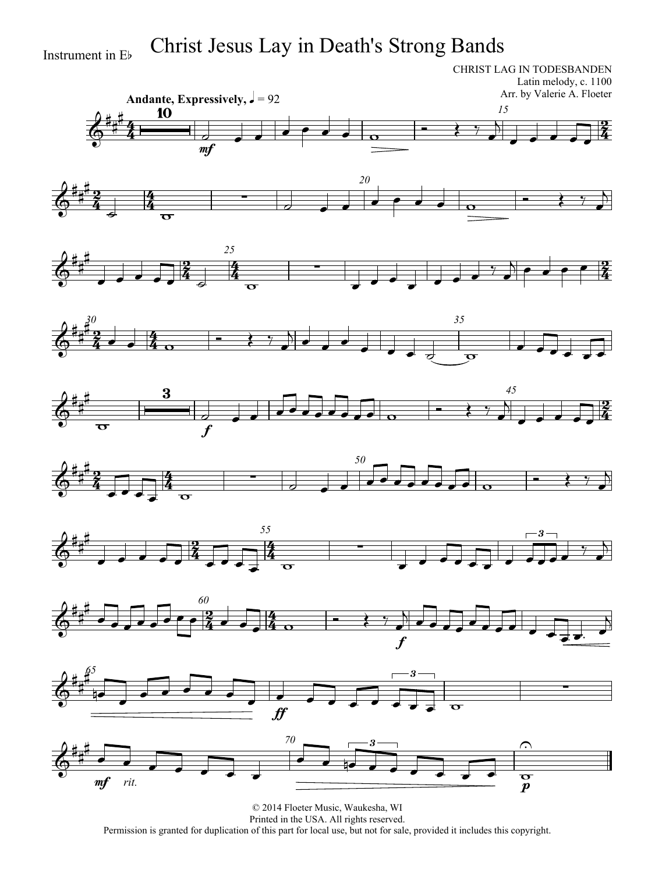# Instrument in E<sup>b</sup> Christ Jesus Lay in Death's Strong Bands

CHRIST LAG IN TODESBANDEN Latin melody, c. 1100 Arr. by Valerie A. Floeter



















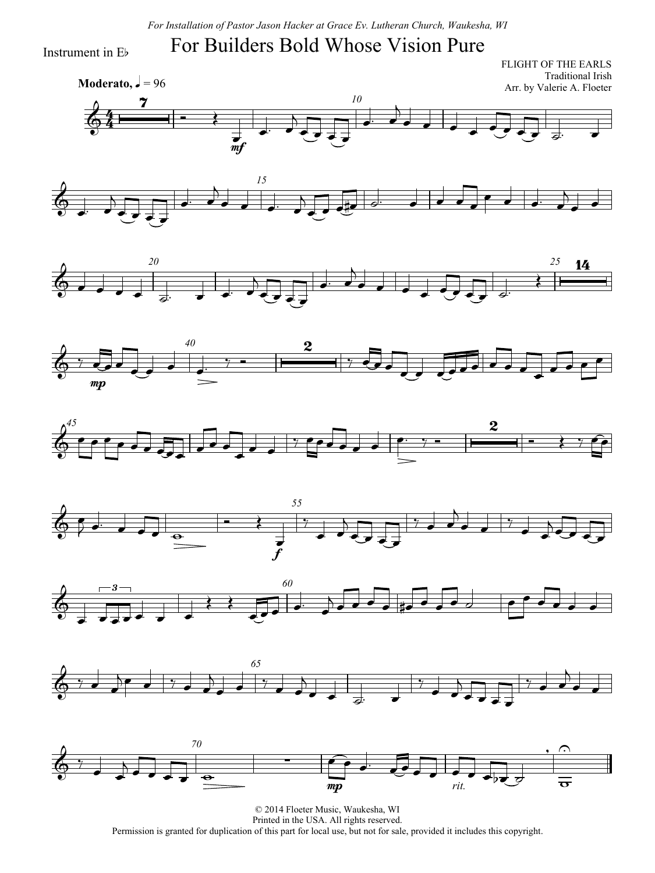*For Installation of Pastor Jason Hacker at Grace Ev. Lutheran Church, Waukesha, WI*

#### For Builders Bold Whose Vision Pure

Instrument in Eb

4  $\frac{4}{4}$ **Moderato,**  $\sqrt{ } = 96$ FLIGHT OF THE EARLS Traditional Irish Arr. by Valerie A. Floeter *10*  $\Phi$  $\overline{\mathbf{z}}$  $\overrightarrow{ }$  $\overrightarrow{m}$  $\overline{\phantom{a}}$  $\overline{\phantom{a}}$  $\overrightarrow{c}$  $\overline{\phantom{a}}$  $\overline{A}$  $\overrightarrow{c}$ 















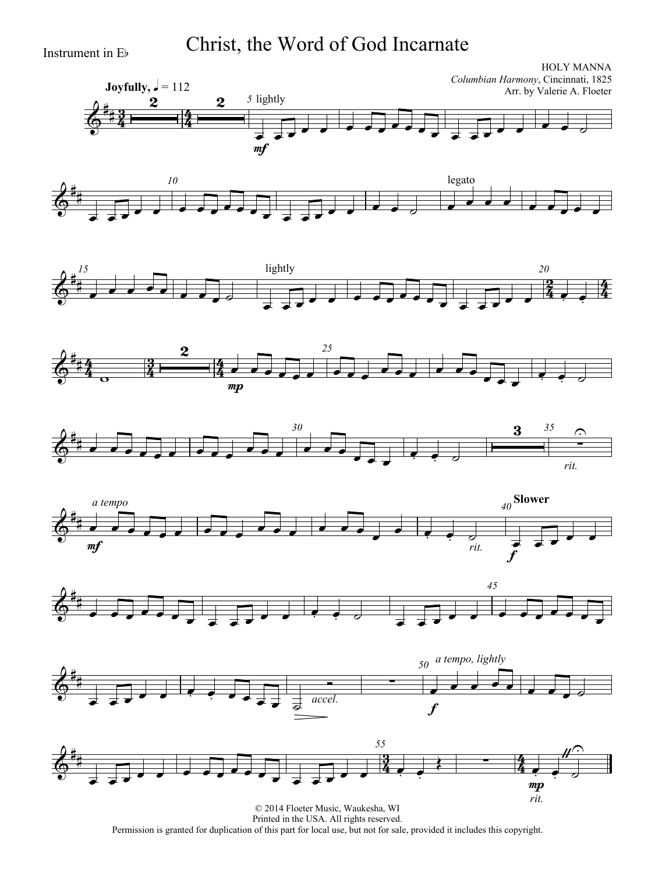Instrument in Eb Christ, the Word of God Incarnate











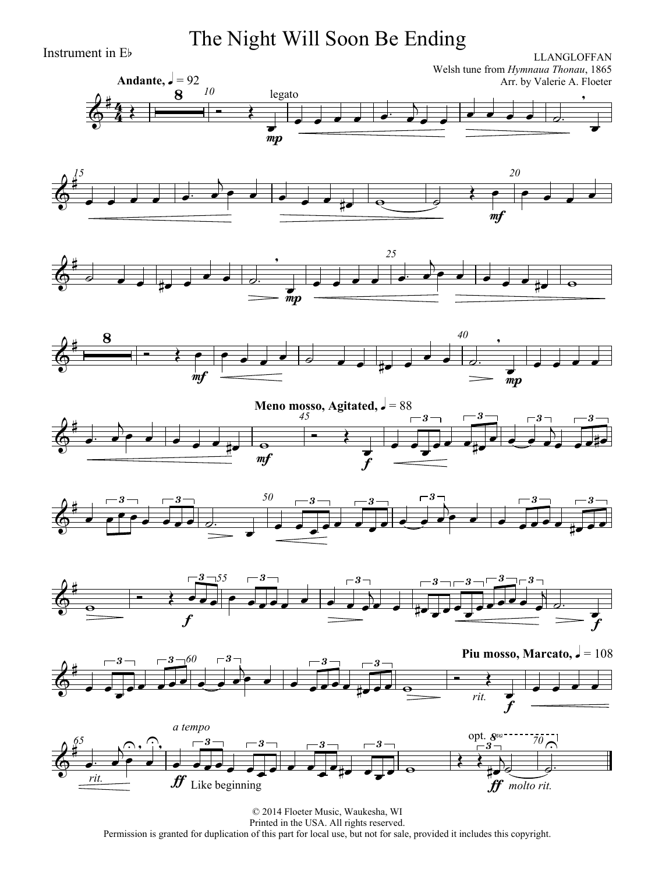Instrument in Eb The Night Will Soon Be Ending